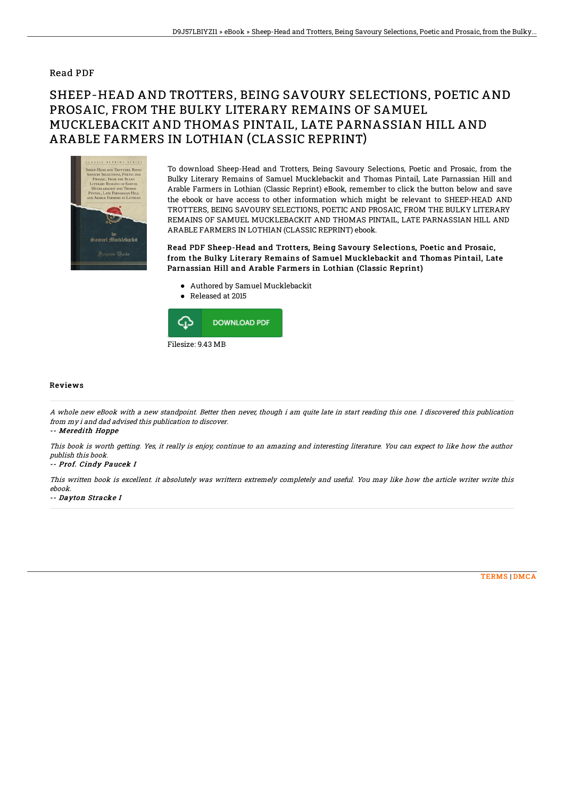## Read PDF

## SHEEP-HEAD AND TROTTERS, BEING SAVOURY SELECTIONS, POETIC AND PROSAIC, FROM THE BULKY LITERARY REMAINS OF SAMUEL MUCKLEBACKIT AND THOMAS PINTAIL, LATE PARNASSIAN HILL AND ARABLE FARMERS IN LOTHIAN (CLASSIC REPRINT)



To download Sheep-Head and Trotters, Being Savoury Selections, Poetic and Prosaic, from the Bulky Literary Remains of Samuel Mucklebackit and Thomas Pintail, Late Parnassian Hill and Arable Farmers in Lothian (Classic Reprint) eBook, remember to click the button below and save the ebook or have access to other information which might be relevant to SHEEP-HEAD AND TROTTERS, BEING SAVOURY SELECTIONS, POETIC AND PROSAIC, FROM THE BULKY LITERARY REMAINS OF SAMUEL MUCKLEBACKIT AND THOMAS PINTAIL, LATE PARNASSIAN HILL AND ARABLE FARMERS IN LOTHIAN (CLASSIC REPRINT) ebook.

Read PDF Sheep-Head and Trotters, Being Savoury Selections, Poetic and Prosaic, f rom the Bulky Literary Remains of Samuel Mucklebackit and Thomas Pintail, Late Parnassian Hill and Arable Farmers in Lothian (Classic Reprint)

- Authored by Samuel Mucklebackit
- Released at 2015



## Reviews

A whole new eBook with <sup>a</sup> new standpoint. Better then never, though i am quite late in start reading this one. I discovered this publication from my i and dad advised this publication to discover.

-- Meredith Hoppe

This book is worth getting. Yes, it really is enjoy, continue to an amazing and interesting literature. You can expect to like how the author publish this book.

-- Prof. Cindy Paucek I

This written book is excellent. it absolutely was writtern extremely completely and useful. You may like how the article writer write this ebook.

-- Dayton Stracke I